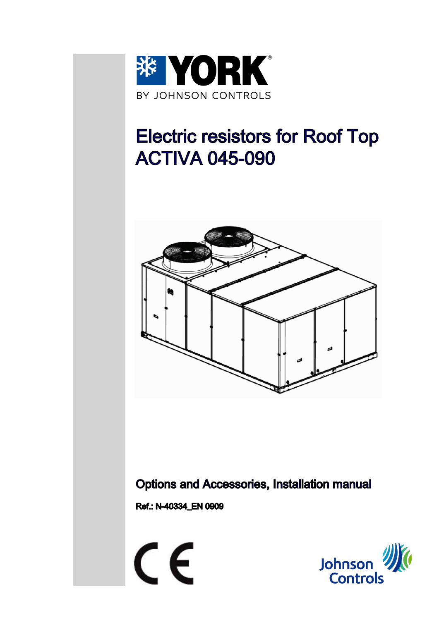

# Electric resistors for Roof Top ACTIVA 045-090



Options and Accessories, Installation manual

Ref.: N-40334\_EN 0909



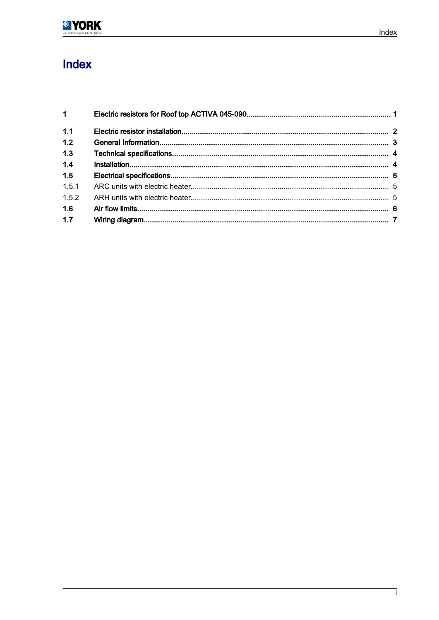## Index

| $1 \quad \blacksquare$ |  |
|------------------------|--|
| 1.1                    |  |
| 1.2                    |  |
| 1.3                    |  |
| 1.4                    |  |
| 1.5                    |  |
| 1.5.1                  |  |
| 1.5.2                  |  |
| 1.6                    |  |
| 1.7                    |  |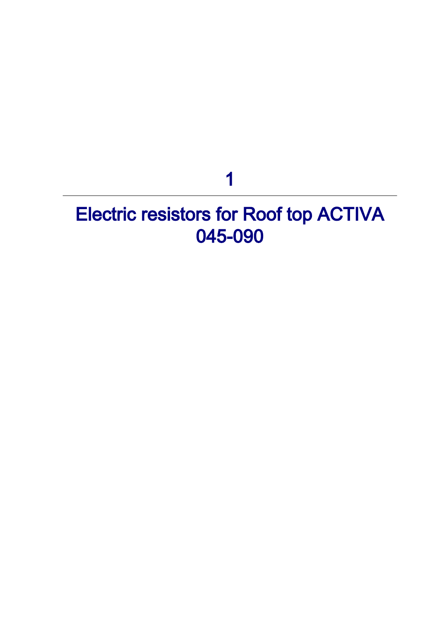# 1

# <span id="page-2-0"></span>Electric resistors for Roof top ACTIVA 045-090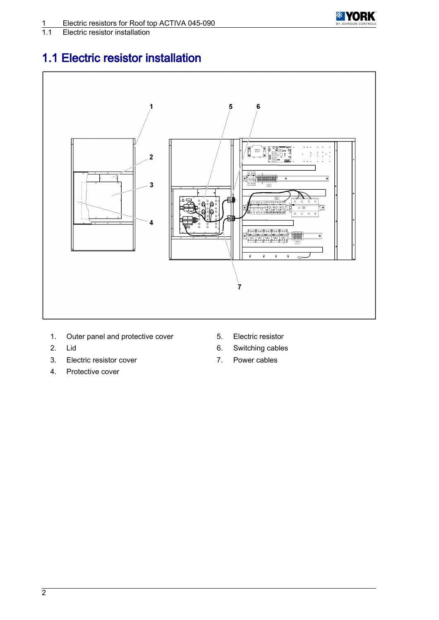

<span id="page-3-0"></span>**Electric resistor installation** 

#### 1.1 Electric resistor installation



- 1. Outer panel and protective cover 5. Electric resistor
- 
- 3. Electric resistor cover **7.** Power cables
- 4. Protective cover
- 
- 2. Lid 6. Switching cables
	-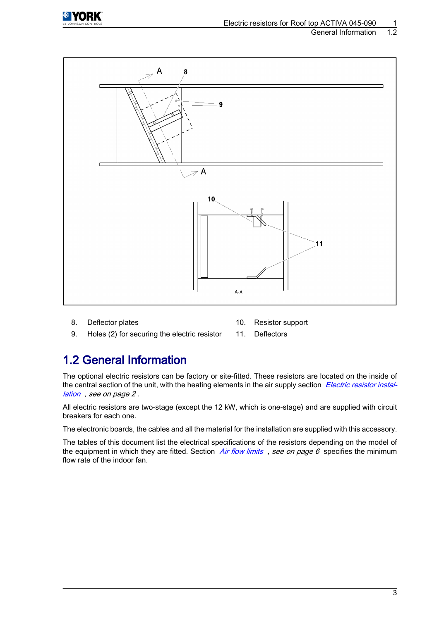<span id="page-4-0"></span>

#### General Information 1.2



- 8. Deflector plates 10. Resistor support
- 
- 9. Holes (2) for securing the electric resistor 11. Deflectors

#### 1.2 General Information

The optional electric resistors can be factory or site-fitted. These resistors are located on the inside of the central section of the unit, with the heating elements in the air supply section Electric resistor instal[lation](#page-3-0) , see on page 2 .

All electric resistors are two-stage (except the 12 kW, which is one-stage) and are supplied with circuit breakers for each one.

The electronic boards, the cables and all the material for the installation are supplied with this accessory.

The tables of this document list the electrical specifications of the resistors depending on the model of the equipment in which they are fitted. Section [Air flow limits](#page-7-0), see on page 6 specifies the minimum flow rate of the indoor fan.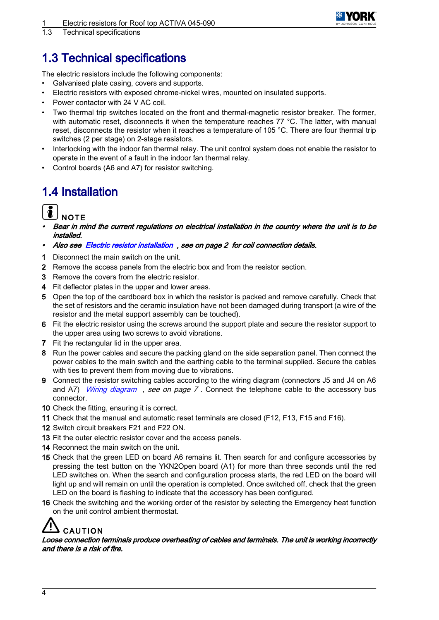

<span id="page-5-0"></span>1.3 Technical specifications

#### 1.3 Technical specifications

The electric resistors include the following components:

- Galvanised plate casing, covers and supports.
- Electric resistors with exposed chrome-nickel wires, mounted on insulated supports.
- Power contactor with 24 V AC coil.
- Two thermal trip switches located on the front and thermal-magnetic resistor breaker. The former, with automatic reset, disconnects it when the temperature reaches 77 °C. The latter, with manual reset, disconnects the resistor when it reaches a temperature of 105 °C. There are four thermal trip switches (2 per stage) on 2-stage resistors.
- Interlocking with the indoor fan thermal relay. The unit control system does not enable the resistor to operate in the event of a fault in the indoor fan thermal relay.
- Control boards (A6 and A7) for resistor switching.

#### 1.4 Installation

**NOTE** 

- • Bear in mind the current regulations on electrical installation in the country where the unit is to be installed.
- Also see [Electric resistor installation](#page-3-0) , see on page 2 for coil connection details.
- 1 Disconnect the main switch on the unit.
- 2 Remove the access panels from the electric box and from the resistor section.
- 3 Remove the covers from the electric resistor.
- 4 Fit deflector plates in the upper and lower areas.
- 5 Open the top of the cardboard box in which the resistor is packed and remove carefully. Check that the set of resistors and the ceramic insulation have not been damaged during transport (a wire of the resistor and the metal support assembly can be touched).
- 6 Fit the electric resistor using the screws around the support plate and secure the resistor support to the upper area using two screws to avoid vibrations.
- 7 Fit the rectangular lid in the upper area.
- 8 Run the power cables and secure the packing gland on the side separation panel. Then connect the power cables to the main switch and the earthing cable to the terminal supplied. Secure the cables with ties to prevent them from moving due to vibrations.
- 9 Connect the resistor switching cables according to the wiring diagram (connectors J5 and J4 on A6 and A7) [Wiring diagram](#page-8-0), see on page  $7$ . Connect the telephone cable to the accessory bus connector.
- 10 Check the fitting, ensuring it is correct.
- 11 Check that the manual and automatic reset terminals are closed (F12, F13, F15 and F16).
- 12 Switch circuit breakers F21 and F22 ON.
- 13 Fit the outer electric resistor cover and the access panels.
- 14 Reconnect the main switch on the unit.
- 15 Check that the green LED on board A6 remains lit. Then search for and configure accessories by pressing the test button on the YKN2Open board (A1) for more than three seconds until the red LED switches on. When the search and configuration process starts, the red LED on the board will light up and will remain on until the operation is completed. Once switched off, check that the green LED on the board is flashing to indicate that the accessory has been configured.
- 16 Check the switching and the working order of the resistor by selecting the Emergency heat function on the unit control ambient thermostat.

### CAUTION

Loose connection terminals produce overheating of cables and terminals. The unit is working incorrectly and there is a risk of fire.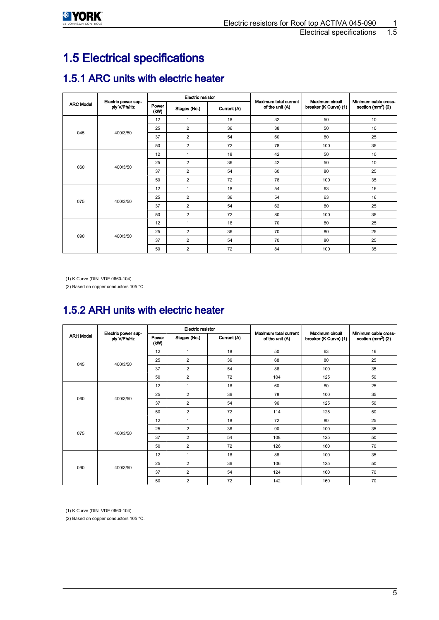<span id="page-6-0"></span>

### 1.5 Electrical specifications

#### 1.5.1 ARC units with electric heater

|                  | Electric power sup-<br>ply V/Ph/Hz | Electric resistor |                |             |                                          |                                          |                                             |  |
|------------------|------------------------------------|-------------------|----------------|-------------|------------------------------------------|------------------------------------------|---------------------------------------------|--|
| <b>ARC Model</b> |                                    | Power<br>(kW)     | Stages (No.)   | Current (A) | Maximum total current<br>of the unit (A) | Maximum circuit<br>breaker (K Curve) (1) | Minimum cable cross-<br>section $(mm2)$ (2) |  |
|                  | 400/3/50                           | 12                | $\mathbf{1}$   | 18          | 32                                       | 50                                       | 10                                          |  |
|                  |                                    | 25                | $\overline{2}$ | 36          | 38                                       | 50                                       | 10                                          |  |
| 045              |                                    | 37                | $\overline{2}$ | 54          | 60                                       | 80                                       | 25                                          |  |
|                  |                                    | 50                | $\overline{2}$ | 72          | 78                                       | 100                                      | 35                                          |  |
|                  | 400/3/50                           | 12                | $\mathbf{1}$   | 18          | 42                                       | 50                                       | 10                                          |  |
|                  |                                    | 25                | $\overline{2}$ | 36          | 42                                       | 50                                       | 10                                          |  |
| 060              |                                    | 37                | $\overline{2}$ | 54          | 60                                       | 80                                       | 25                                          |  |
|                  |                                    | 50                | $\overline{2}$ | 72          | 78                                       | 100                                      | 35                                          |  |
|                  | 400/3/50                           | 12                | 1              | 18          | 54                                       | 63                                       | 16                                          |  |
| 075              |                                    | 25                | $\overline{2}$ | 36          | 54                                       | 63                                       | 16                                          |  |
|                  |                                    | 37                | $\overline{2}$ | 54          | 62                                       | 80                                       | 25                                          |  |
|                  |                                    | 50                | $\overline{2}$ | 72          | 80                                       | 100                                      | 35                                          |  |
|                  | 400/3/50                           | 12                | $\mathbf{1}$   | 18          | 70                                       | 80                                       | 25                                          |  |
|                  |                                    | 25                | $\overline{2}$ | 36          | 70                                       | 80                                       | 25                                          |  |
| 090              |                                    | 37                | $\overline{2}$ | 54          | 70                                       | 80                                       | 25                                          |  |
|                  |                                    | 50                | $\overline{2}$ | 72          | 84                                       | 100                                      | 35                                          |  |

(1) K Curve (DIN, VDE 0660-104).

(2) Based on copper conductors 105 °C.

#### 1.5.2 ARH units with electric heater

|                  | Electric power sup-<br>ply V/Ph/Hz | <b>Electric resistor</b> |                |             |                                          |                                          |                                               |
|------------------|------------------------------------|--------------------------|----------------|-------------|------------------------------------------|------------------------------------------|-----------------------------------------------|
| <b>ARH Model</b> |                                    | Power<br>(kW)            | Stages (No.)   | Current (A) | Maximum total current<br>of the unit (A) | Maximum circuit<br>breaker (K Curve) (1) | Minimum cable cross-<br>section ( $mm2$ ) (2) |
|                  | 400/3/50                           | 12                       | $\mathbf{1}$   | 18          | 50                                       | 63                                       | 16                                            |
| 045              |                                    | 25                       | $\overline{2}$ | 36          | 68<br>80                                 |                                          | 25                                            |
|                  |                                    | 37                       | $\overline{2}$ | 54          | 86                                       | 100                                      | 35                                            |
|                  |                                    | 50                       | $\overline{2}$ | 72          | 104                                      | 125                                      | 50                                            |
|                  | 400/3/50                           | 12                       | $\mathbf{1}$   | 18          | 60                                       | 80                                       | 25                                            |
| 060              |                                    | 25                       | 2              | 36          | 78<br>100                                |                                          | 35                                            |
|                  |                                    | 37                       | $\overline{2}$ | 54          | 96                                       | 125                                      | 50                                            |
|                  |                                    | 50                       | $\overline{2}$ | 72          | 114                                      | 125                                      | 50                                            |
|                  | 400/3/50                           | 12                       | $\mathbf{1}$   | 18          | 72                                       | 80                                       | 25                                            |
| 075              |                                    | 25                       | 2              | 36          | 90                                       | 100                                      | 35                                            |
|                  |                                    | 37                       | $\overline{2}$ | 54          | 108                                      | 125                                      | 50                                            |
|                  |                                    | 50                       | $\overline{2}$ | 72          | 126                                      | 160                                      | 70                                            |
|                  | 400/3/50                           | 12                       | $\mathbf{1}$   | 18          | 88                                       | 100                                      | 35                                            |
|                  |                                    | 25                       | $\overline{2}$ | 36          | 106                                      | 125                                      | 50                                            |
| 090              |                                    | 37                       | $\overline{2}$ | 54          | 124                                      | 160                                      | 70                                            |
|                  |                                    | 50                       | $\overline{2}$ | 72          | 142                                      | 160                                      | 70                                            |

(1) K Curve (DIN, VDE 0660-104).

(2) Based on copper conductors 105 °C.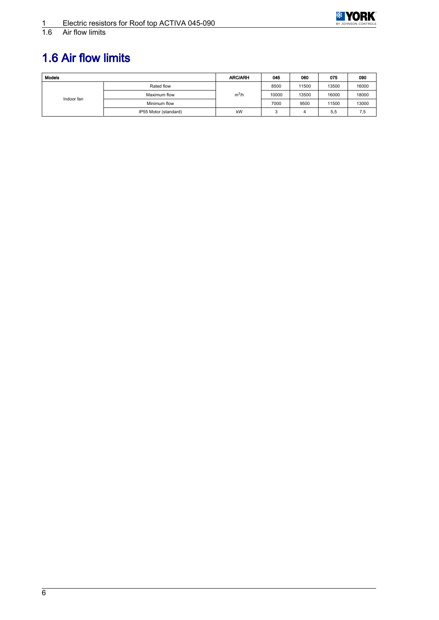

<span id="page-7-0"></span>Air flow limits

## 1.6 Air flow limits

| <b>Models</b> | <b>ARC/ARH</b>        | 045     | 060   | 075   | 090   |       |
|---------------|-----------------------|---------|-------|-------|-------|-------|
|               | Rated flow            |         | 8500  | 11500 | 13500 | 16000 |
|               | Maximum flow          | $m^3/h$ | 10000 | 13500 | 16000 | 18000 |
| Indoor fan    | Minimum flow          |         | 7000  | 9500  | 11500 | 13000 |
|               | IP55 Motor (standard) | kW      |       |       | 5,5   | 7,5   |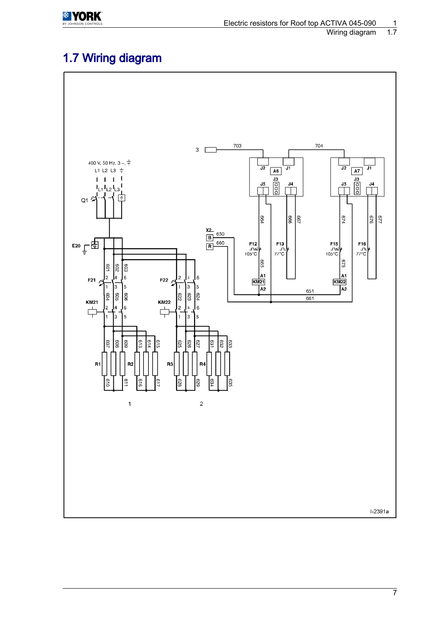<span id="page-8-0"></span>

#### 1.7 Wiring diagram